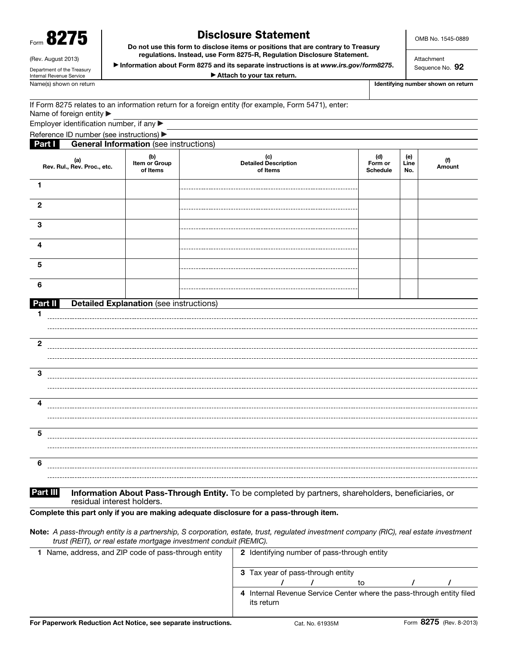| п.<br>п.<br>، ۱<br><b>ULL</b><br>Form<br>,, |
|---------------------------------------------|
|---------------------------------------------|

(Rev. August 2013) Department of the Treasury Internal Revenue Service

## Disclosure Statement

OMB No. 1545-0889

Do not use this form to disclose items or positions that are contrary to Treasury regulations. Instead, use Form 8275-R, Regulation Disclosure Statement.

▶ Information about Form 8275 and its separate instructions is at *www.irs.gov/form8275*. ▶ Attach to your tax return.

Attachment Sequence No. 92

Name(s) shown on return **Identifying number shown on return** Intervention of the state of the state of the state of the state of the state of the state of the state of the state of the state of the state of the state of th

|                                              | If Form 8275 relates to an information return for a foreign entity (for example, Form 5471), enter: |  |  |
|----------------------------------------------|-----------------------------------------------------------------------------------------------------|--|--|
| Name of foreign entity $\blacktriangleright$ |                                                                                                     |  |  |

Employer identification number, if any ▶

Reference ID number (see instructions) ▶

| <b>Part I</b>                      | <b>General Information</b> (see instructions)  |                                         |                                   |                    |               |
|------------------------------------|------------------------------------------------|-----------------------------------------|-----------------------------------|--------------------|---------------|
| (a)<br>Rev. Rul., Rev. Proc., etc. | (b)<br>Item or Group<br>of Items               | (c)<br>Detailed Description<br>of Items | (d)<br>Form or<br><b>Schedule</b> | (e)<br>Line<br>No. | (f)<br>Amount |
| 1                                  |                                                |                                         |                                   |                    |               |
| $\boldsymbol{2}$                   |                                                |                                         |                                   |                    |               |
| $\mathbf{3}$                       |                                                |                                         |                                   |                    |               |
| $\overline{\mathbf{4}}$            |                                                |                                         |                                   |                    |               |
| ${\bf 5}$                          |                                                |                                         |                                   |                    |               |
| $\bf 6$                            |                                                |                                         |                                   |                    |               |
| Part II                            | <b>Detailed Explanation (see instructions)</b> |                                         |                                   |                    |               |
| $\overline{\mathbf{2}}$            |                                                |                                         |                                   |                    |               |
|                                    |                                                |                                         |                                   |                    |               |
| $\mathbf{3}$                       |                                                |                                         |                                   |                    |               |
| $\overline{\mathbf{4}}$            |                                                |                                         |                                   |                    |               |
| $\overline{\mathbf{5}}$            |                                                |                                         |                                   |                    |               |
|                                    |                                                |                                         |                                   |                    |               |
| 6                                  |                                                |                                         |                                   |                    |               |
|                                    |                                                |                                         |                                   |                    |               |

## Part III Information About Pass-Through Entity. To be completed by partners, shareholders, beneficiaries, or residual interest holders.

Complete this part only if you are making adequate disclosure for a pass-through item.

| Note: A pass-through entity is a partnership, S corporation, estate, trust, regulated investment company (RIC), real estate investment |
|----------------------------------------------------------------------------------------------------------------------------------------|
| trust (REIT), or real estate mortgage investment conduit (REMIC).                                                                      |

| Name, address, and ZIP code of pass-through entity | <b>2</b> Identifying number of pass-through entity |            |  |  |  |    |  |                                                                       |
|----------------------------------------------------|----------------------------------------------------|------------|--|--|--|----|--|-----------------------------------------------------------------------|
|                                                    | Tax year of pass-through entity<br>з               |            |  |  |  |    |  |                                                                       |
|                                                    |                                                    |            |  |  |  | to |  |                                                                       |
|                                                    |                                                    | its return |  |  |  |    |  | 4 Internal Revenue Service Center where the pass-through entity filed |
|                                                    |                                                    |            |  |  |  |    |  | $- - -$                                                               |